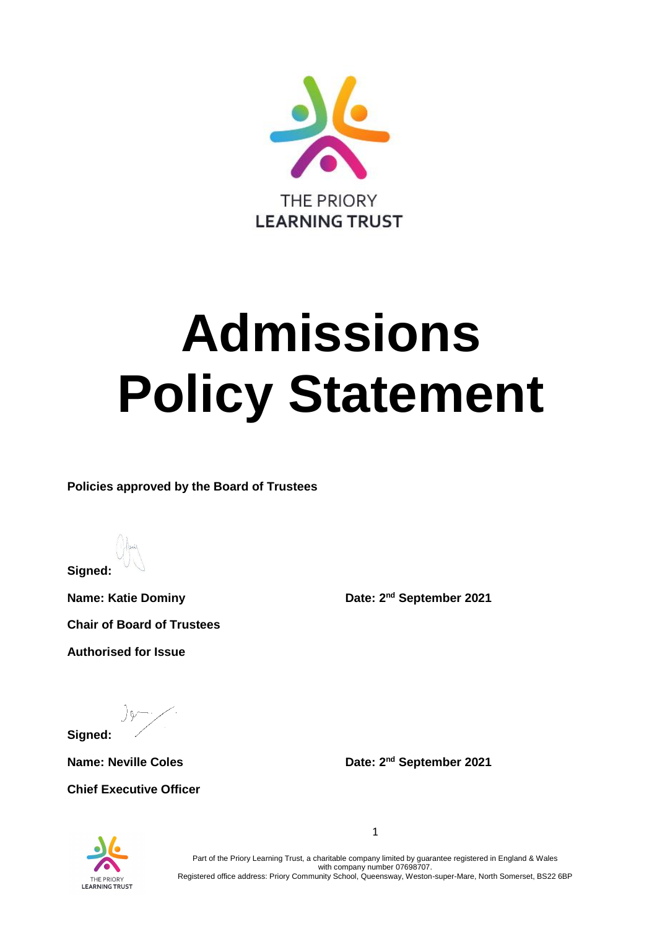

# **Admissions Policy Statement**

**Policies approved by the Board of Trustees**

**Signed:**

**Name: Katie Dominy Chair of Board of Trustees Authorised for Issue**

Date: 2<sup>nd</sup> September 2021

**Signed:**

 $Name: Neville Coles$ 

**Chief Executive Officer**

Date: 2<sup>nd</sup> September 2021



Part of the Priory Learning Trust, a charitable company limited by guarantee registered in England & Wales with company number 07698707. Registered office address: Priory Community School, Queensway, Weston-super-Mare, North Somerset, BS22 6BP

1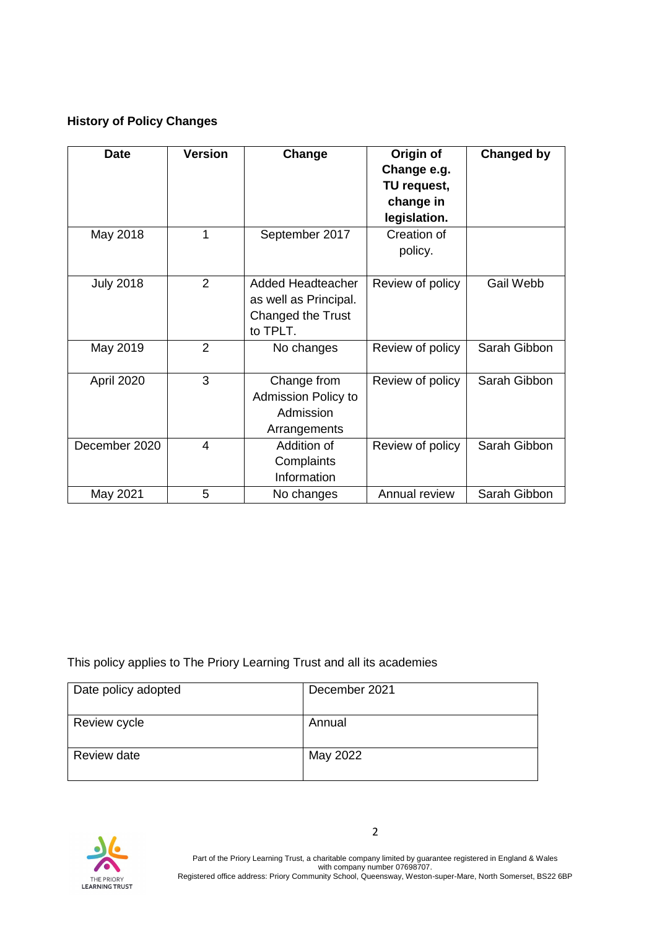## **History of Policy Changes**

| <b>Date</b>      | <b>Version</b> | Change                                                                             | Origin of<br>Change e.g.<br>TU request,<br>change in<br>legislation. | <b>Changed by</b> |
|------------------|----------------|------------------------------------------------------------------------------------|----------------------------------------------------------------------|-------------------|
| May 2018         | 1              | September 2017                                                                     | Creation of<br>policy.                                               |                   |
| <b>July 2018</b> | $\overline{2}$ | <b>Added Headteacher</b><br>as well as Principal.<br>Changed the Trust<br>to TPLT. | Review of policy                                                     | Gail Webb         |
| May 2019         | $\overline{2}$ | No changes                                                                         | Review of policy                                                     | Sarah Gibbon      |
| April 2020       | 3              | Change from<br><b>Admission Policy to</b><br>Admission<br>Arrangements             | Review of policy                                                     | Sarah Gibbon      |
| December 2020    | 4              | Addition of<br>Complaints<br>Information                                           | Review of policy                                                     | Sarah Gibbon      |
| May 2021         | 5              | No changes                                                                         | Annual review                                                        | Sarah Gibbon      |

This policy applies to The Priory Learning Trust and all its academies

| Date policy adopted | December 2021 |
|---------------------|---------------|
| Review cycle        | Annual        |
| Review date         | May 2022      |
|                     |               |



Part of the Priory Learning Trust, a charitable company limited by guarantee registered in England & Wales with company number 07698707. Registered office address: Priory Community School, Queensway, Weston-super-Mare, North Somerset, BS22 6BP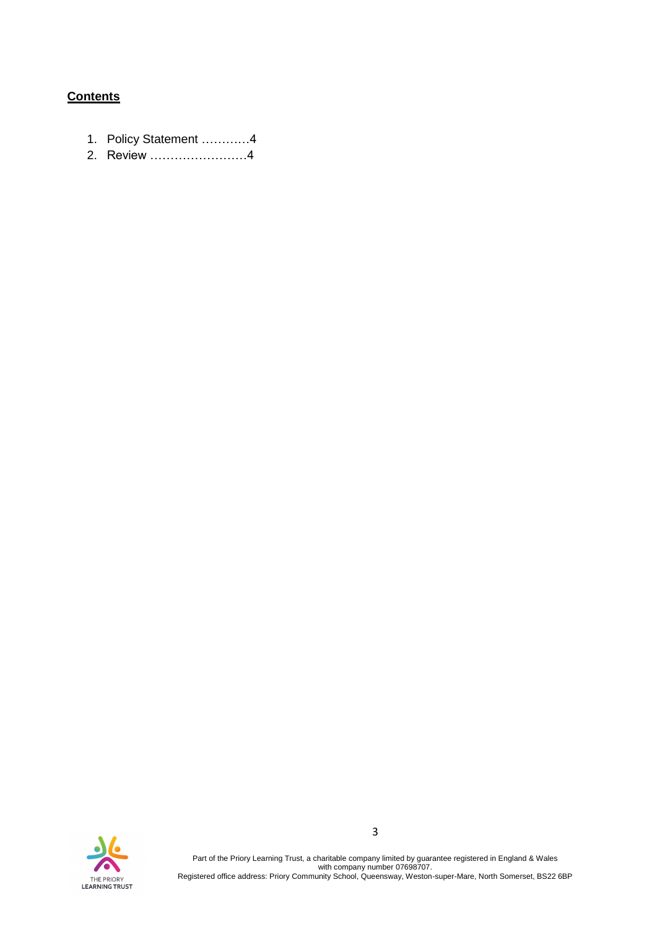## **Contents**

- 1. Policy Statement …………4
- 2. Review ……………………4



Part of the Priory Learning Trust, a charitable company limited by guarantee registered in England & Wales with company number 07698707. Registered office address: Priory Community School, Queensway, Weston-super-Mare, North Somerset, BS22 6BP